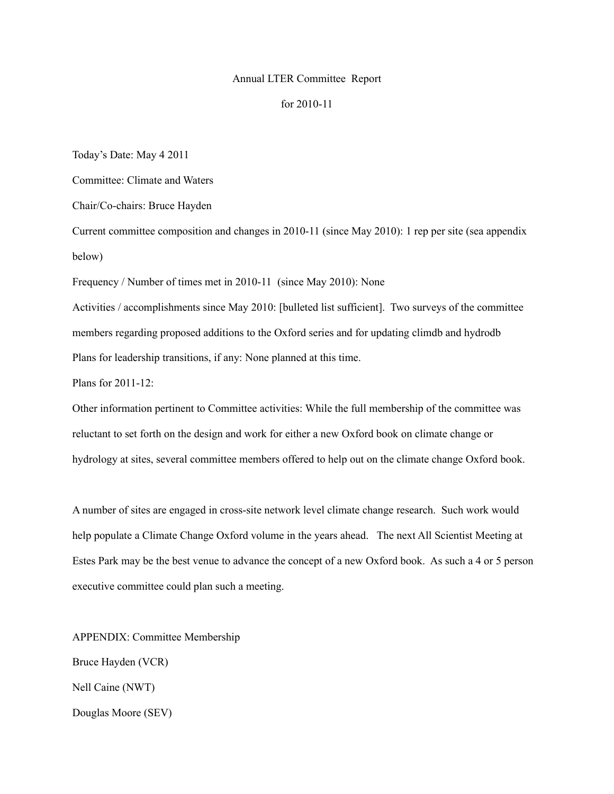## Annual LTER Committee Report

## for 2010-11

Today's Date: May 4 2011

Committee: Climate and Waters

Chair/Co-chairs: Bruce Hayden

Current committee composition and changes in 2010-11 (since May 2010): 1 rep per site (sea appendix below)

Frequency / Number of times met in 2010-11 (since May 2010): None

Activities / accomplishments since May 2010: [bulleted list sufficient]. Two surveys of the committee members regarding proposed additions to the Oxford series and for updating climdb and hydrodb Plans for leadership transitions, if any: None planned at this time.

Plans for 2011-12:

Other information pertinent to Committee activities: While the full membership of the committee was reluctant to set forth on the design and work for either a new Oxford book on climate change or hydrology at sites, several committee members offered to help out on the climate change Oxford book.

A number of sites are engaged in cross-site network level climate change research. Such work would help populate a Climate Change Oxford volume in the years ahead. The next All Scientist Meeting at Estes Park may be the best venue to advance the concept of a new Oxford book. As such a 4 or 5 person executive committee could plan such a meeting.

APPENDIX: Committee Membership Bruce Hayden (VCR) Nell Caine (NWT) Douglas Moore (SEV)